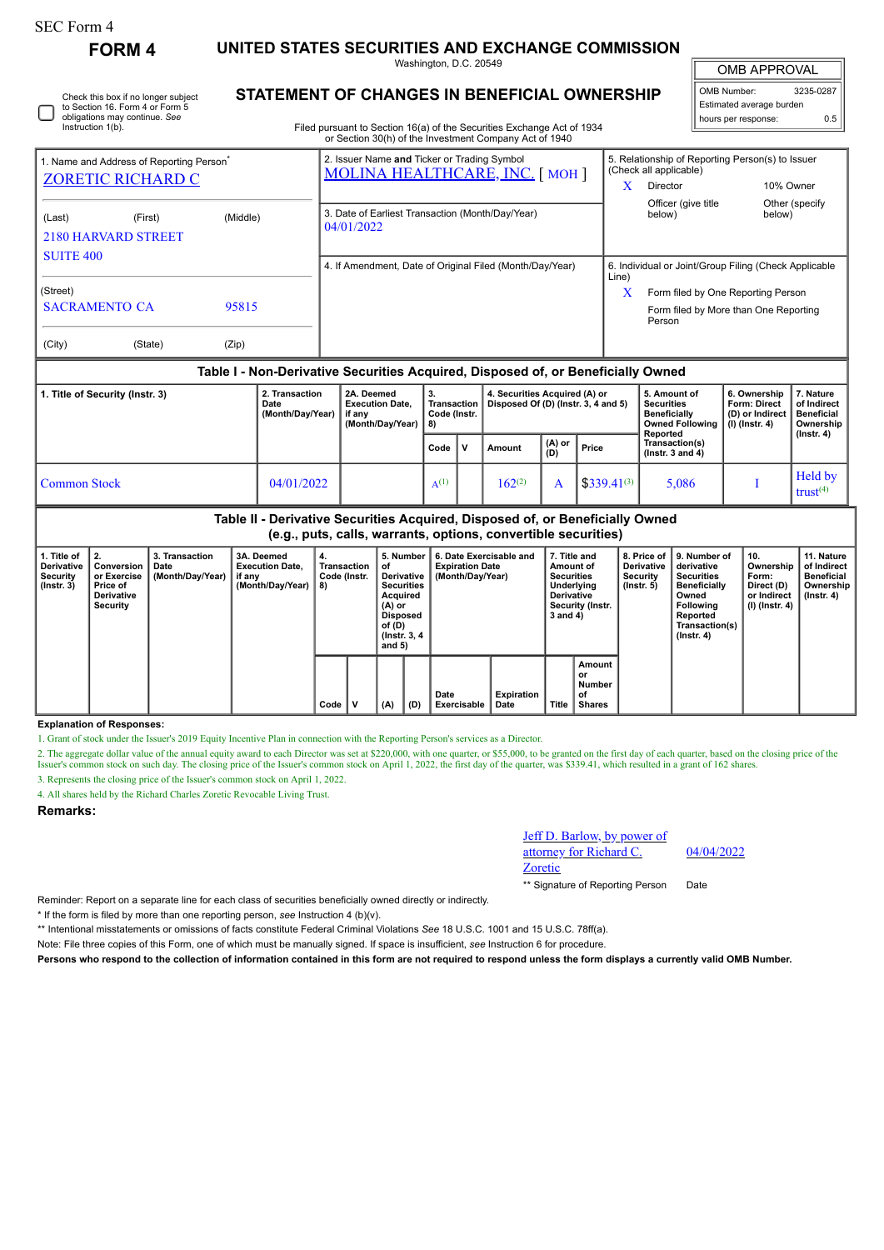# SEC Form 4

**FORM 4 UNITED STATES SECURITIES AND EXCHANGE COMMISSION** Washington, D.C. 20549

OMB APPROVAL

 $\mathbb{I}$ 

| Check this box if no longer subject<br>to Section 16. Form 4 or Form 5<br>obligations may continue. See<br>Instruction 1(b). |
|------------------------------------------------------------------------------------------------------------------------------|
|                                                                                                                              |

## **STATEMENT OF CHANGES IN BENEFICIAL OWNERSHIP**

Filed pursuant to Section 16(a) of the Securities Exchange Act of 1934 or Section 30(h) of the Investment Company Act of 1940

| OMB Number:              | 3235-0287 |  |  |  |  |
|--------------------------|-----------|--|--|--|--|
| Estimated average burden |           |  |  |  |  |
| hours per response:      | ሰ 5       |  |  |  |  |

|                                                      |                               |          | or Section 30(ii) or the investment Company Act or 1940                              |                                                                            |  |  |  |  |  |
|------------------------------------------------------|-------------------------------|----------|--------------------------------------------------------------------------------------|----------------------------------------------------------------------------|--|--|--|--|--|
| 1. Name and Address of Reporting Person <sup>®</sup> |                               |          | 2. Issuer Name and Ticker or Trading Symbol<br><b>MOLINA HEALTHCARE, INC. [MOH ]</b> | 5. Relationship of Reporting Person(s) to Issuer<br>(Check all applicable) |  |  |  |  |  |
| <b>ZORETIC RICHARD C</b>                             |                               |          |                                                                                      | X<br>10% Owner<br>Director                                                 |  |  |  |  |  |
|                                                      |                               |          |                                                                                      | Officer (give title<br>Other (specify                                      |  |  |  |  |  |
| (Last)                                               | (First)                       | (Middle) | 3. Date of Earliest Transaction (Month/Day/Year)<br>04/01/2022                       | below)<br>below)                                                           |  |  |  |  |  |
|                                                      | <b>2180 HARVARD STREET</b>    |          |                                                                                      |                                                                            |  |  |  |  |  |
| <b>SUITE 400</b>                                     |                               |          |                                                                                      |                                                                            |  |  |  |  |  |
|                                                      |                               |          | 4. If Amendment, Date of Original Filed (Month/Day/Year)                             | 6. Individual or Joint/Group Filing (Check Applicable<br>Line)             |  |  |  |  |  |
| (Street)                                             |                               |          |                                                                                      | x<br>Form filed by One Reporting Person                                    |  |  |  |  |  |
|                                                      | <b>SACRAMENTO CA</b><br>95815 |          |                                                                                      | Form filed by More than One Reporting<br>Person                            |  |  |  |  |  |
| (City)                                               | (State)                       | (Zip)    |                                                                                      |                                                                            |  |  |  |  |  |

#### **Table I - Non-Derivative Securities Acquired, Disposed of, or Beneficially Owned**

| 1. Title of Security (Instr. 3) | 2. Transaction<br>Date<br>(Month/Dav/Year) | 2A. Deemed<br><b>Execution Date.</b><br>if anv<br>(Month/Dav/Year)   8) | З.<br>Transaction I<br>Code (Instr. |              | 4. Securities Acquired (A) or<br>Disposed Of (D) (Instr. 3, 4 and 5) |                                                   |                  | 5. Amount of<br><b>Securities</b><br><b>Beneficially</b><br>Owned Following<br>Reported | 6. Ownership<br><b>Form: Direct</b><br>(D) or Indirect<br>(I) (Instr. 4) | 7. Nature<br>of Indirect<br><b>Beneficial</b><br>Ownership |
|---------------------------------|--------------------------------------------|-------------------------------------------------------------------------|-------------------------------------|--------------|----------------------------------------------------------------------|---------------------------------------------------|------------------|-----------------------------------------------------------------------------------------|--------------------------------------------------------------------------|------------------------------------------------------------|
|                                 |                                            |                                                                         | Code                                | $\mathbf{V}$ | Amount                                                               | $\begin{pmatrix} (A) & or \\ (D) & \end{pmatrix}$ | Price            | Transaction(s)<br>( $lnstr.$ 3 and 4)                                                   |                                                                          | $($ lnstr. 4 $)$                                           |
| Common Stock                    | 04/01/2022                                 |                                                                         |                                     |              | $162^{(2)}$                                                          |                                                   | $$339.41^{(3)}$$ | 5,086                                                                                   |                                                                          | Held by<br>trust $(4)$                                     |

### **Table II - Derivative Securities Acquired, Disposed of, or Beneficially Owned (e.g., puts, calls, warrants, options, convertible securities)**

| 1. Title of<br>Derivative<br>Security<br>$($ lnstr. 3 $)$ | Conversion<br>or Exercise<br>Price of<br><b>Derivative</b><br>Security | 3. Transaction<br>Date<br>(Month/Day/Year) | 3A. Deemed<br><b>Execution Date.</b><br>if any<br>(Month/Dav/Year) | ່ 4.<br>Transaction<br>Code (Instr.<br>8) |      | 5. Number<br>οf<br>Derivative<br><b>Securities</b><br>Acquired<br>(A) or<br><b>Disposed</b><br>of (D)<br>(Instr. 3, 4)<br>and $5)$ |     | 6. Date Exercisable and<br><b>Expiration Date</b><br>(Month/Dav/Year) | 7. Title and<br>Amount of<br><b>Securities</b><br>Underlying<br><b>Derivative</b><br>Security (Instr.<br>3 and 4) |                    | <b>Derivative</b><br>Security<br>$($ lnstr. 5 $)$ | 8. Price of 19. Number of<br>derivative<br><b>Securities</b><br><b>Beneficially</b><br>Owned<br><b>Following</b><br>Reported<br>Transaction(s)<br>$($ lnstr. 4 $)$ | 10.<br>Ownership<br>Form:<br>Direct (D)<br>or Indirect<br>(I) (Instr. 4) | 11. Nature<br>of Indirect<br>Beneficial<br>Ownership<br>(Instr. 4) |  |  |
|-----------------------------------------------------------|------------------------------------------------------------------------|--------------------------------------------|--------------------------------------------------------------------|-------------------------------------------|------|------------------------------------------------------------------------------------------------------------------------------------|-----|-----------------------------------------------------------------------|-------------------------------------------------------------------------------------------------------------------|--------------------|---------------------------------------------------|--------------------------------------------------------------------------------------------------------------------------------------------------------------------|--------------------------------------------------------------------------|--------------------------------------------------------------------|--|--|
|                                                           |                                                                        |                                            |                                                                    |                                           | Code | $\mathbf v$                                                                                                                        | (A) | (D)                                                                   | Date<br>Exercisable                                                                                               | Expiration<br>Date | <b>Title</b>                                      | Amount<br>or<br><b>Number</b><br>οf<br>Shares                                                                                                                      |                                                                          |                                                                    |  |  |

#### **Explanation of Responses:**

1. Grant of stock under the Issuer's 2019 Equity Incentive Plan in connection with the Reporting Person's services as a Director.

2. The aggregate dollar value of the annual equity award to each Director was set at \$220,000, with one quarter, or \$55,000, to be granted on the first day of each quarter, based on the closing price of the Issuer's common stock on such day. The closing price of the Issuer's common stock on April 1, 2022, the first day of the quarter, was \$339.41, which resulted in a grant of 162 shares. 3. Represents the closing price of the Issuer's common stock on April 1, 2022.

4. All shares held by the Richard Charles Zoretic Revocable Living Trust.

**Remarks:**

Jeff D. Barlow, by power of attorney for Richard C. Zoretic

04/04/2022

\*\* Signature of Reporting Person Date

Reminder: Report on a separate line for each class of securities beneficially owned directly or indirectly.

\* If the form is filed by more than one reporting person, *see* Instruction 4 (b)(v).

\*\* Intentional misstatements or omissions of facts constitute Federal Criminal Violations *See* 18 U.S.C. 1001 and 15 U.S.C. 78ff(a).

Note: File three copies of this Form, one of which must be manually signed. If space is insufficient, *see* Instruction 6 for procedure.

**Persons who respond to the collection of information contained in this form are not required to respond unless the form displays a currently valid OMB Number.**